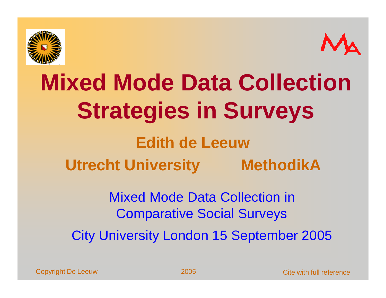



## **Mixed Mode Data Collection Strategies in Surveys Edith de Leeuw Utrecht University MethodikA**

Mixed Mode Data Collection in Comparative Social Surveys

City University London 15 September 2005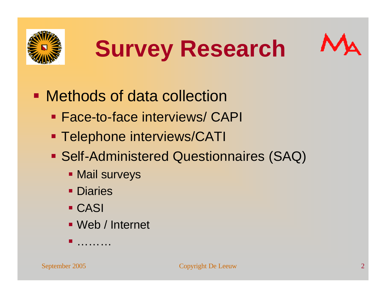





- Methods of data collection
	- **Face-to-face interviews/ CAPI**
	- **Telephone interviews/CATI**
	- **Self-Administered Questionnaires (SAQ)** 
		- **Mail surveys**
		- **Diaries**

ß ………

- ß CASI
- Web / Internet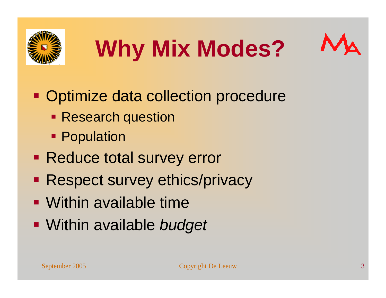





• Optimize data collection procedure

- Research question
- **Population**
- Reduce total survey error
- Respect survey ethics/privacy
- Within available time
- ß Within available *budget*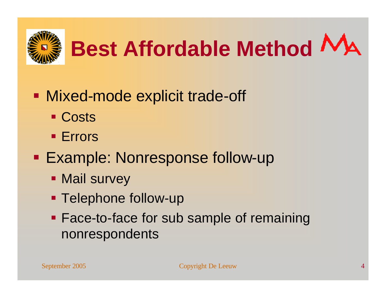

# **Best Affordable Method**

- **Mixed-mode explicit trade-off** 
	- Costs
	- **Errors**
- **Example: Nonresponse follow-up** 
	- Mail survey
	- Telephone follow-up
	- **Face-to-face for sub sample of remaining** nonrespondents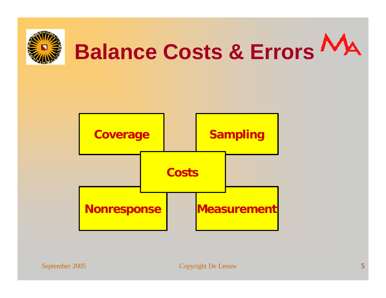

# **Balance Costs & Errors**

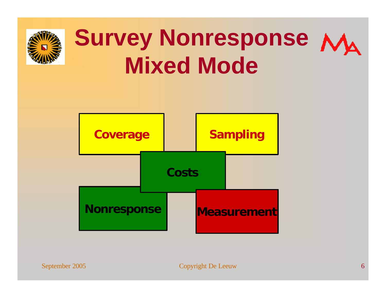

## **Survey Nonresponse**  $M_A$ **Mixed Mode**

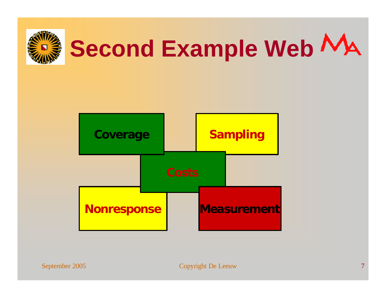

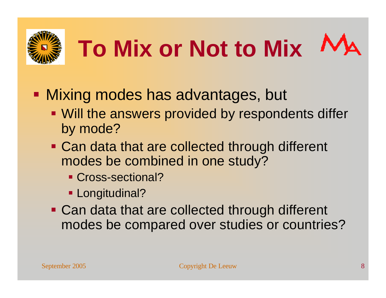

# **To Mix or Not to Mix**

- Mixing modes has advantages, but
	- Will the answers provided by respondents differ by mode?
	- Can data that are collected through different modes be combined in one study?
		- Cross-sectional?
		- **Longitudinal?**
	- Can data that are collected through different modes be compared over studies or countries?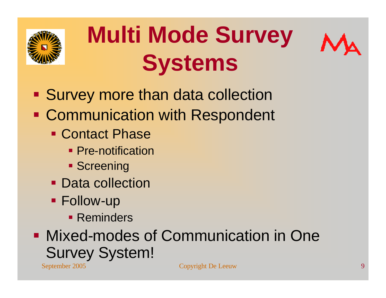

## **Multi Mode Survey Systems**



- **Survey more than data collection**
- **Communication with Respondent** 
	- **Contact Phase** 
		- Pre-notification
		- **Screening**
	- Data collection
	- **Follow-up** 
		- **Reminders**
- September 2005 Copyright De Leeuw 9 **• Mixed-modes of Communication in One** Survey System!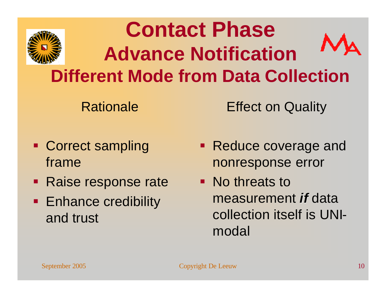

#### **Contact Phase Advance Notification Different Mode from Data Collection**

Rationale

Effect on Quality

- Correct sampling frame
- Raise response rate
- **Enhance credibility** and trust
- Reduce coverage and nonresponse error
- No threats to measurement *if* data collection itself is UNImodal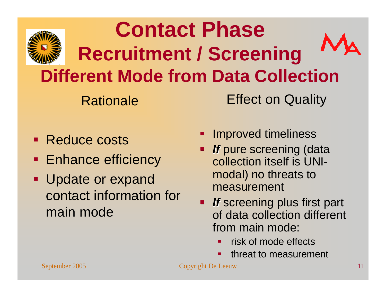

#### **Contact Phase Recruitment / Screening Different Mode from Data Collection**

Rationale

Effect on Quality

- Reduce costs
- **Enhance efficiency**
- Update or expand contact information for main mode
- ß Improved timeliness
- *If* pure screening (data collection itself is UNImodal) no threats to measurement
- *If* screening plus first part of data collection different from main mode:
	- ß risk of mode effects
	- ß threat to measurement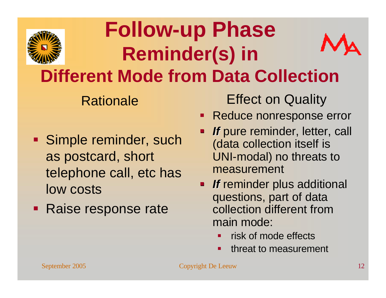

#### **Follow-up Phase Reminder(s) in Different Mode from Data Collection**

Rationale

- **Simple reminder, such** as postcard, short telephone call, etc has low costs
- Raise response rate

Effect on Quality

- Reduce nonresponse error
- *If* pure reminder, letter, call (data collection itself is UNI-modal) no threats to measurement
- **F If** reminder plus additional questions, part of data collection different from main mode:
	- risk of mode effects
	- ß threat to measurement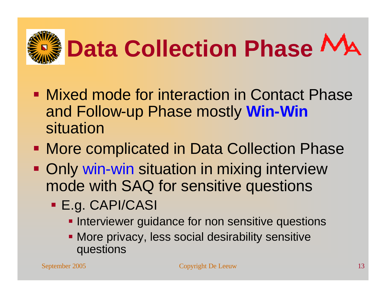

- **Mixed mode for interaction in Contact Phase** and Follow-up Phase mostly **Win-Win** situation
- More complicated in Data Collection Phase
- Only win-win situation in mixing interview mode with SAQ for sensitive questions
	- **E.g. CAPI/CASI** 
		- **Interviewer guidance for non sensitive questions**
		- More privacy, less social desirability sensitive questions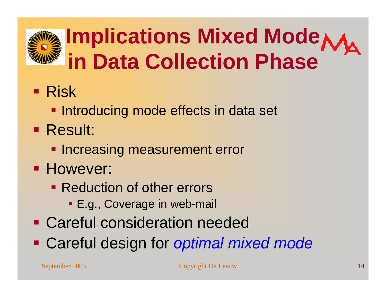## **Implications Mixed Mode in Data Collection Phase**

- **Risk** 
	- **Introducing mode effects in data set**
- Result:
	- **Increasing measurement error**
- **However:** 
	- Reduction of other errors
		- **E.g., Coverage in web-mail**
- Careful consideration needed
- **Example 2 Careful design for optimal mixed mode**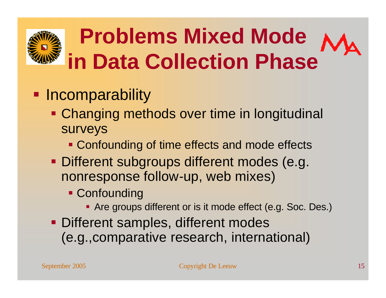## **Problems Mixed Mode in Data Collection Phase**

#### **• Incomparability**

- **Changing methods over time in longitudinal** surveys
	- Confounding of time effects and mode effects
- **Different subgroups different modes (e.g.** nonresponse follow-up, web mixes)
	- **Confounding** 
		- Are groups different or is it mode effect (e.g. Soc. Des.)
- **Different samples, different modes** (e.g.,comparative research, international)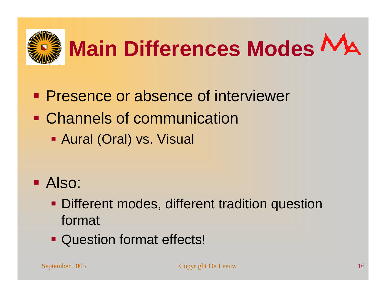

- **Presence or absence of interviewer**
- Channels of communication
	- **Aural (Oral) vs. Visual**

- **Also:** 
	- **Different modes, different tradition question** format
	- Question format effects!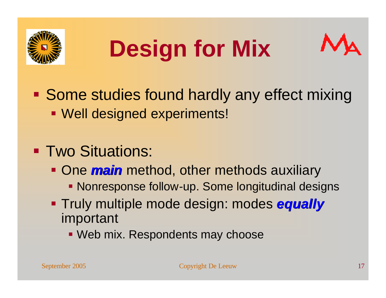

## **Design for Mix**



- Some studies found hardly any effect mixing **Well designed experiments!**
- **Two Situations:** 
	- **One** *main* method, other methods auxiliary
		- Nonresponse follow-up. Some longitudinal designs
	- **Truly multiple mode design: modes equally** important
		- Web mix. Respondents may choose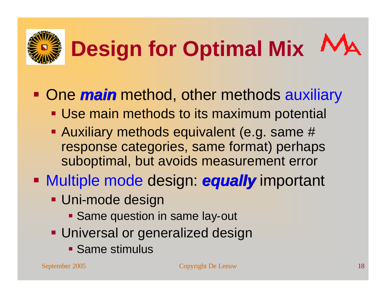

# **Design for Optimal Mix**

#### • One *main* method, other methods auxiliary

- **Use main methods to its maximum potential**
- Auxiliary methods equivalent (e.g. same # response categories, same format) perhaps suboptimal, but avoids measurement error
- **Nultiple mode design: equally important** 
	- **Uni-mode design** 
		- **Same question in same lay-out**
	- **Universal or generalized design** 
		- **Same stimulus**